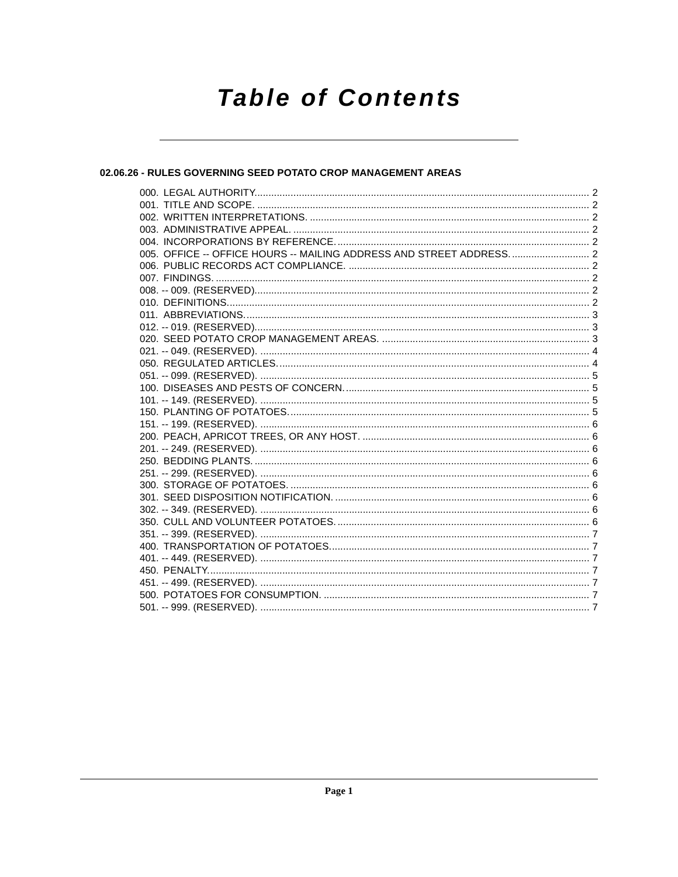# **Table of Contents**

# 02.06.26 - RULES GOVERNING SEED POTATO CROP MANAGEMENT AREAS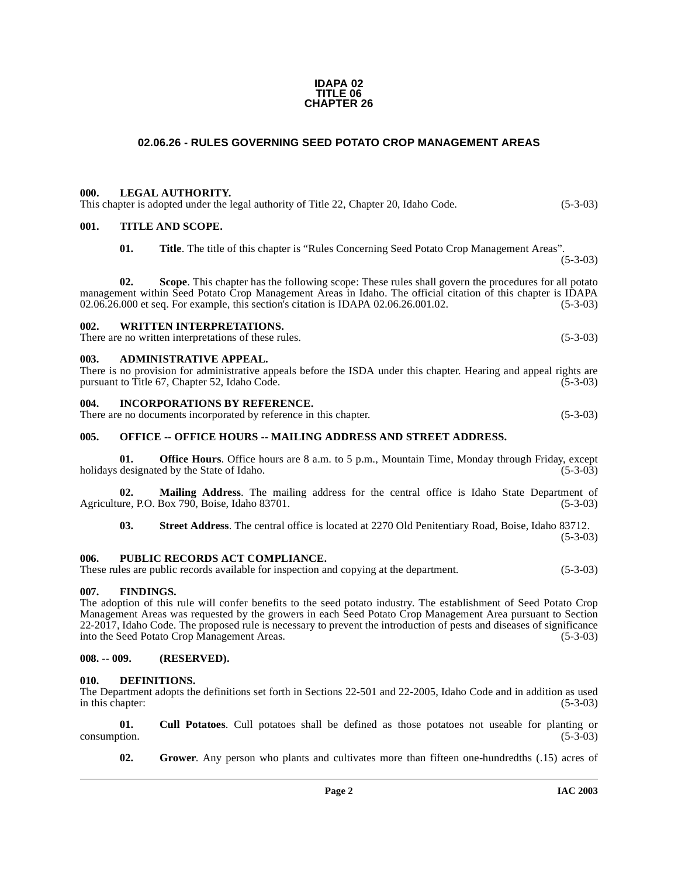#### **IDAPA 02 TITLE 06 CHAPTER 26**

# **02.06.26 - RULES GOVERNING SEED POTATO CROP MANAGEMENT AREAS**

## <span id="page-1-1"></span><span id="page-1-0"></span>**000. LEGAL AUTHORITY.**

This chapter is adopted under the legal authority of Title 22, Chapter 20, Idaho Code. (5-3-03)

## <span id="page-1-2"></span>**001. TITLE AND SCOPE.**

**01. Title**. The title of this chapter is "Rules Concerning Seed Potato Crop Management Areas". (5-3-03)

**02. Scope**. This chapter has the following scope: These rules shall govern the procedures for all potato management within Seed Potato Crop Management Areas in Idaho. The official citation of this chapter is IDAPA 02.06.26.000 et seq. For example, this section's citation is IDAPA 02.06.26.001.02. (5-3-03) 02.06.26.000 et seq. For example, this section's citation is IDAPA 02.06.26.001.02.

## <span id="page-1-3"></span>**002. WRITTEN INTERPRETATIONS.**

There are no written interpretations of these rules. (5-3-03)

#### <span id="page-1-4"></span>**003. ADMINISTRATIVE APPEAL.**

| There is no provision for administrative appeals before the ISDA under this chapter. Hearing and appeal rights are |            |
|--------------------------------------------------------------------------------------------------------------------|------------|
| pursuant to Title 67, Chapter 52, Idaho Code.                                                                      | $(5-3-03)$ |

#### <span id="page-1-5"></span>**004. INCORPORATIONS BY REFERENCE.**

There are no documents incorporated by reference in this chapter. (5-3-03)

## <span id="page-1-6"></span>005. OFFICE -- OFFICE HOURS -- MAILING ADDRESS AND STREET ADDRESS.

**01. Office Hours**. Office hours are 8 a.m. to 5 p.m., Mountain Time, Monday through Friday, except designated by the State of Idaho. (5-3-03) holidays designated by the State of Idaho.

**02.** Mailing Address. The mailing address for the central office is Idaho State Department of are, P.O. Box 790, Boise, Idaho 83701. (5-3-03) Agriculture, P.O. Box 790, Boise, Idaho 83701.

**03. Street Address**. The central office is located at 2270 Old Penitentiary Road, Boise, Idaho 83712. (5-3-03)

#### <span id="page-1-7"></span>**006. PUBLIC RECORDS ACT COMPLIANCE.**

These rules are public records available for inspection and copying at the department. (5-3-03)

## <span id="page-1-8"></span>**007. FINDINGS.**

The adoption of this rule will confer benefits to the seed potato industry. The establishment of Seed Potato Crop Management Areas was requested by the growers in each Seed Potato Crop Management Area pursuant to Section 22-2017, Idaho Code. The proposed rule is necessary to prevent the introduction of pests and diseases of significance into the Seed Potato Crop Management Areas. (5-3-03)

# <span id="page-1-9"></span>**008. -- 009. (RESERVED).**

#### <span id="page-1-12"></span><span id="page-1-10"></span>**010. DEFINITIONS.**

The Department adopts the definitions set forth in Sections 22-501 and 22-2005, Idaho Code and in addition as used in this chapter: (5-3-03)

**01. Cull Potatoes**. Cull potatoes shall be defined as those potatoes not useable for planting or consumption.

<span id="page-1-13"></span><span id="page-1-11"></span>**02. Grower**. Any person who plants and cultivates more than fifteen one-hundredths (.15) acres of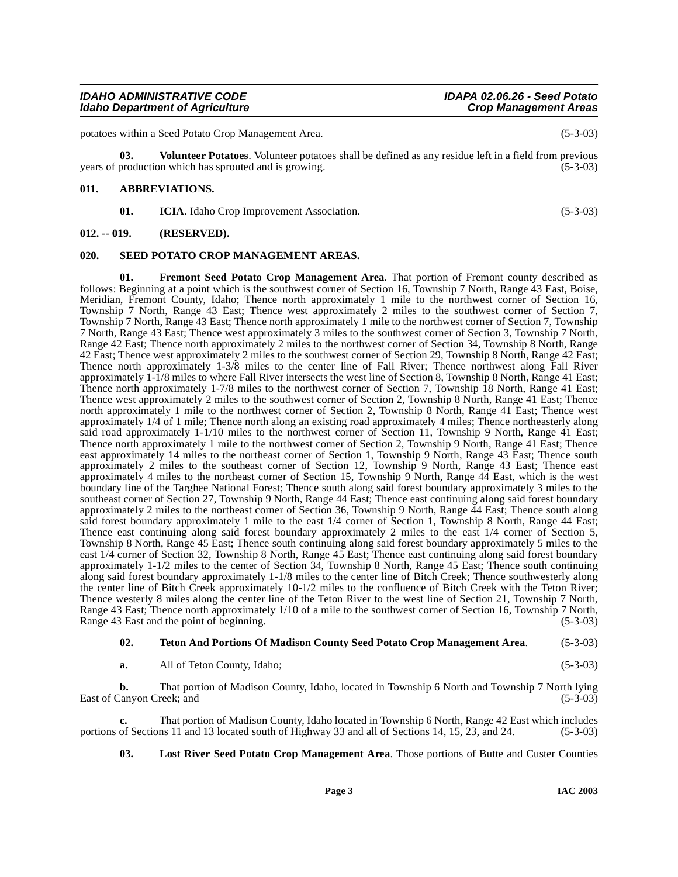**Page 3 IAC 2003**

#### **IDAHO ADMINISTRATIVE CODE IDAPA 02.06.26 - Seed Potato Idaho Department of Agriculture**

potatoes within a Seed Potato Crop Management Area. (5-3-03)

**03. Volunteer Potatoes**. Volunteer potatoes shall be defined as any residue left in a field from previous years of production which has sprouted and is growing. (5-3-03)

# <span id="page-2-0"></span>**011. ABBREVIATIONS.**

<span id="page-2-8"></span><span id="page-2-6"></span><span id="page-2-4"></span><span id="page-2-3"></span>**01.** ICIA. Idaho Crop Improvement Association. (5-3-03)

## <span id="page-2-1"></span>**012. -- 019. (RESERVED).**

## <span id="page-2-2"></span>**020. SEED POTATO CROP MANAGEMENT AREAS.**

**01. Fremont Seed Potato Crop Management Area**. That portion of Fremont county described as follows: Beginning at a point which is the southwest corner of Section 16, Township 7 North, Range 43 East, Boise, Meridian, Fremont County, Idaho; Thence north approximately 1 mile to the northwest corner of Section 16, Township 7 North, Range 43 East; Thence west approximately 2 miles to the southwest corner of Section 7, Township 7 North, Range 43 East; Thence north approximately 1 mile to the northwest corner of Section 7, Township 7 North, Range 43 East; Thence west approximately 3 miles to the southwest corner of Section 3, Township 7 North, Range 42 East; Thence north approximately 2 miles to the northwest corner of Section 34, Township 8 North, Range 42 East; Thence west approximately 2 miles to the southwest corner of Section 29, Township 8 North, Range 42 East; Thence north approximately 1-3/8 miles to the center line of Fall River; Thence northwest along Fall River approximately 1-1/8 miles to where Fall River intersects the west line of Section 8, Township 8 North, Range 41 East; Thence north approximately 1-7/8 miles to the northwest corner of Section 7, Township 18 North, Range 41 East; Thence west approximately 2 miles to the southwest corner of Section 2, Township 8 North, Range 41 East; Thence north approximately 1 mile to the northwest corner of Section 2, Township 8 North, Range 41 East; Thence west approximately 1/4 of 1 mile; Thence north along an existing road approximately 4 miles; Thence northeasterly along said road approximately 1-1/10 miles to the northwest corner of Section 11, Township 9 North, Range 41 East; Thence north approximately 1 mile to the northwest corner of Section 2, Township 9 North, Range 41 East; Thence east approximately 14 miles to the northeast corner of Section 1, Township 9 North, Range 43 East; Thence south approximately 2 miles to the southeast corner of Section 12, Township 9 North, Range 43 East; Thence east approximately 4 miles to the northeast corner of Section 15, Township 9 North, Range 44 East, which is the west boundary line of the Targhee National Forest; Thence south along said forest boundary approximately 3 miles to the southeast corner of Section 27, Township 9 North, Range 44 East; Thence east continuing along said forest boundary approximately 2 miles to the northeast corner of Section 36, Township 9 North, Range 44 East; Thence south along said forest boundary approximately 1 mile to the east 1/4 corner of Section 1, Township 8 North, Range 44 East; Thence east continuing along said forest boundary approximately 2 miles to the east 1/4 corner of Section 5, Township 8 North, Range 45 East; Thence south continuing along said forest boundary approximately 5 miles to the east 1/4 corner of Section 32, Township 8 North, Range 45 East; Thence east continuing along said forest boundary approximately 1-1/2 miles to the center of Section 34, Township 8 North, Range 45 East; Thence south continuing along said forest boundary approximately 1-1/8 miles to the center line of Bitch Creek; Thence southwesterly along the center line of Bitch Creek approximately 10-1/2 miles to the confluence of Bitch Creek with the Teton River; Thence westerly 8 miles along the center line of the Teton River to the west line of Section 21, Township 7 North, Range 43 East; Thence north approximately 1/10 of a mile to the southwest corner of Section 16, Township 7 North, Range 43 East and the point of beginning. (5-3-03)

#### <span id="page-2-7"></span>**02. Teton And Portions Of Madison County Seed Potato Crop Management Area**. (5-3-03)

**a.** All of Teton County, Idaho; (5-3-03)

**b.** That portion of Madison County, Idaho, located in Township 6 North and Township 7 North lying East of Canyon Creek; and (5-3-03)

**c.** That portion of Madison County, Idaho located in Township 6 North, Range 42 East which includes portions of Sections 11 and 13 located south of Highway 33 and all of Sections 14, 15, 23, and 24. (5-3-03)

<span id="page-2-5"></span>**03. Lost River Seed Potato Crop Management Area**. Those portions of Butte and Custer Counties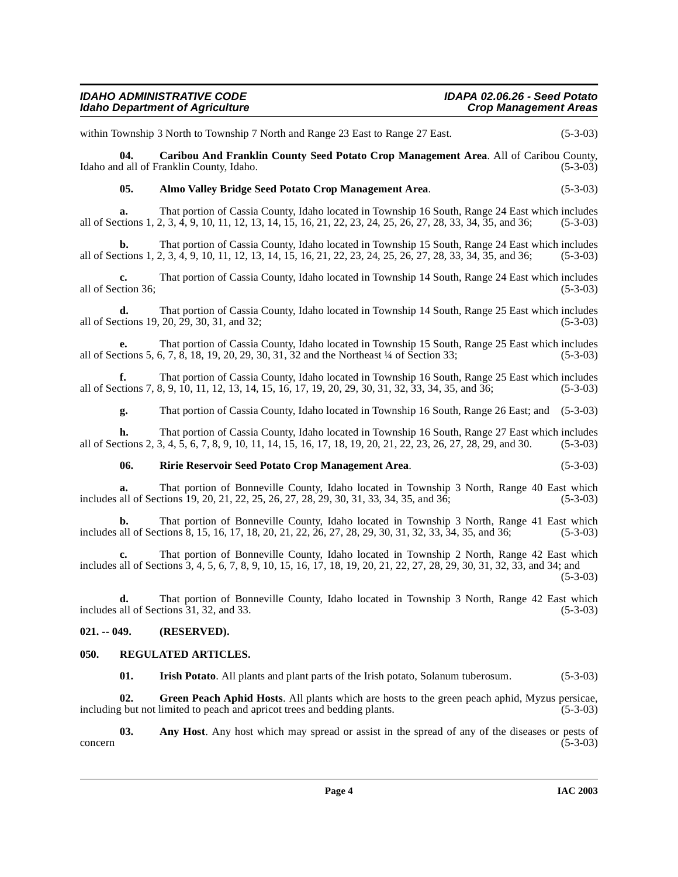within Township 3 North to Township 7 North and Range 23 East to Range 27 East. (5-3-03)

**04. Caribou And Franklin County Seed Potato Crop Management Area**. All of Caribou County, Idaho and all of Franklin County, Idaho.

## <span id="page-3-3"></span><span id="page-3-2"></span>**05. Almo Valley Bridge Seed Potato Crop Management Area**. (5-3-03)

**a.** That portion of Cassia County, Idaho located in Township 16 South, Range 24 East which includes all of Sections 1, 2, 3, 4, 9, 10, 11, 12, 13, 14, 15, 16, 21, 22, 23, 24, 25, 26, 27, 28, 33, 34, 35, and 36; (5-3-03)

**b.** That portion of Cassia County, Idaho located in Township 15 South, Range 24 East which includes all of Sections 1, 2, 3, 4, 9, 10, 11, 12, 13, 14, 15, 16, 21, 22, 23, 24, 25, 26, 27, 28, 33, 34, 35, and 36; (5-3-03)

**c.** That portion of Cassia County, Idaho located in Township 14 South, Range 24 East which includes all of Section 36;  $(5-3-03)$ 

**d.** That portion of Cassia County, Idaho located in Township 14 South, Range 25 East which includes tions 19, 20, 29, 30, 31, and 32: all of Sections 19, 20, 29, 30, 31, and 32;

**e.** That portion of Cassia County, Idaho located in Township 15 South, Range 25 East which includes all of Sections 5, 6, 7, 8, 18, 19, 20, 29, 30, 31, 32 and the Northeast ¼ of Section 33; (5-3-03)

**f.** That portion of Cassia County, Idaho located in Township 16 South, Range 25 East which includes ctions 7, 8, 9, 10, 11, 12, 13, 14, 15, 16, 17, 19, 20, 29, 30, 31, 32, 33, 34, 35, and 36; (5-3-03) all of Sections 7, 8, 9, 10, 11, 12, 13, 14, 15, 16, 17, 19, 20, 29, 30, 31, 32, 33, 34, 35, and 36; (5-3-03)

**g.** That portion of Cassia County, Idaho located in Township 16 South, Range 26 East; and (5-3-03)

**h.** That portion of Cassia County, Idaho located in Township 16 South, Range 27 East which includes all of Sections 2, 3, 4, 5, 6, 7, 8, 9, 10, 11, 14, 15, 16, 17, 18, 19, 20, 21, 22, 23, 26, 27, 28, 29, and 30. (5-3-03)

#### <span id="page-3-7"></span>**06. Ririe Reservoir Seed Potato Crop Management Area**. (5-3-03)

```
a. That portion of Bonneville County, Idaho located in Township 3 North, Range 40 East which 
includes all of Sections 19, 20, 21, 22, 25, 26, 27, 28, 29, 30, 31, 33, 34, 35, and 36; (5-3-03)
```
**b.** That portion of Bonneville County, Idaho located in Township 3 North, Range 41 East which includes all of Sections 8, 15, 16, 17, 18, 20, 21, 22, 26, 27, 28, 29, 30, 31, 32, 33, 34, 35, and 36; (5-3-03)

**c.** That portion of Bonneville County, Idaho located in Township 2 North, Range 42 East which includes all of Sections 3, 4, 5, 6, 7, 8, 9, 10, 15, 16, 17, 18, 19, 20, 21, 22, 27, 28, 29, 30, 31, 32, 33, and 34; and (5-3-03)

**d.** That portion of Bonneville County, Idaho located in Township 3 North, Range 42 East which includes all of Sections  $31, 32,$  and  $33.$  (5-3-03)

# <span id="page-3-0"></span>**021. -- 049. (RESERVED).**

#### <span id="page-3-1"></span>**050. REGULATED ARTICLES.**

<span id="page-3-6"></span><span id="page-3-5"></span><span id="page-3-4"></span>**01. Irish Potato**. All plants and plant parts of the Irish potato, Solanum tuberosum. (5-3-03)

**02. Green Peach Aphid Hosts**. All plants which are hosts to the green peach aphid, Myzus persicae, including but not limited to peach and apricot trees and bedding plants. (5-3-03)

**03.** Any Host. Any host which may spread or assist in the spread of any of the diseases or pests of  $(5-3-03)$ concern (5-3-03)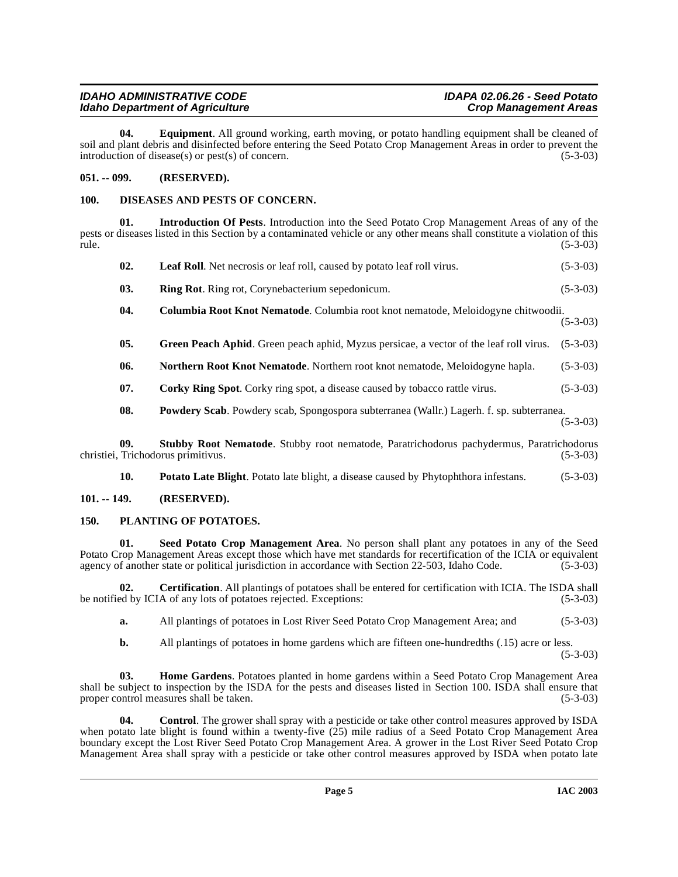| <b>IDAHO ADMINISTRATIVE CODE</b>       | IDAPA 02.06.26 - Seed Potato |
|----------------------------------------|------------------------------|
| <b>Idaho Department of Agriculture</b> | <b>Crop Management Areas</b> |

<span id="page-4-9"></span>**04. Equipment**. All ground working, earth moving, or potato handling equipment shall be cleaned of soil and plant debris and disinfected before entering the Seed Potato Crop Management Areas in order to prevent the introduction of disease(s) or pest(s) of concern. (5-3-03)

## <span id="page-4-0"></span>**051. -- 099. (RESERVED).**

## <span id="page-4-8"></span><span id="page-4-1"></span>**100. DISEASES AND PESTS OF CONCERN.**

**01. Introduction Of Pests**. Introduction into the Seed Potato Crop Management Areas of any of the pests or diseases listed in this Section by a contaminated vehicle or any other means shall constitute a violation of this  $rule.$  (5-3-03)

<span id="page-4-18"></span><span id="page-4-14"></span><span id="page-4-13"></span><span id="page-4-12"></span><span id="page-4-10"></span><span id="page-4-5"></span>

| 02. | <b>Leaf Roll.</b> Net necrosis or leaf roll, caused by potato leaf roll virus.                                                                                                                                                                                                                                  | $(5-3-03)$ |
|-----|-----------------------------------------------------------------------------------------------------------------------------------------------------------------------------------------------------------------------------------------------------------------------------------------------------------------|------------|
| 03. | <b>Ring Rot.</b> Ring rot, Corynebacterium sepedonicum.                                                                                                                                                                                                                                                         | $(5-3-03)$ |
| 04. | Columbia Root Knot Nematode. Columbia root knot nematode, Meloidogyne chitwoodii.                                                                                                                                                                                                                               | $(5-3-03)$ |
| 05. | <b>Green Peach Aphid.</b> Green peach aphid, Myzus persicae, a vector of the leaf roll virus.                                                                                                                                                                                                                   | $(5-3-03)$ |
| 06. | <b>Northern Root Knot Nematode.</b> Northern root knot nematode, Meloidogyne hapla.                                                                                                                                                                                                                             | $(5-3-03)$ |
| 07. | <b>Corky Ring Spot.</b> Corky ring spot, a disease caused by tobacco rattle virus.                                                                                                                                                                                                                              | $(5-3-03)$ |
| 08. | Powdery Scab. Powdery scab, Spongospora subterranea (Wallr.) Lagerh. f. sp. subterranea.                                                                                                                                                                                                                        | $(5-3-03)$ |
| ΛΛ. | $\alpha$ . I. I. $\alpha$ is $\alpha$ is $\alpha$ is $\alpha$ is the set of $\alpha$ is $\alpha$ is $\alpha$ is the set of $\alpha$ is $\alpha$ is $\alpha$ is the set of $\alpha$ is $\alpha$ is $\alpha$ is the set of $\alpha$ is $\alpha$ is $\alpha$ is the set of $\alpha$ is $\alpha$ is $\alpha$ is $\$ |            |

<span id="page-4-7"></span>**09. Stubby Root Nematode**. Stubby root nematode, Paratrichodorus pachydermus, Paratrichodorus christiei, Trichodorus primitivus. (5-3-03)

<span id="page-4-20"></span><span id="page-4-19"></span><span id="page-4-17"></span><span id="page-4-16"></span><span id="page-4-15"></span>**10. Potato Late Blight**. Potato late blight, a disease caused by Phytophthora infestans. (5-3-03)

## <span id="page-4-2"></span>**101. -- 149. (RESERVED).**

# <span id="page-4-3"></span>**150. PLANTING OF POTATOES.**

**01. Seed Potato Crop Management Area**. No person shall plant any potatoes in any of the Seed Potato Crop Management Areas except those which have met standards for recertification of the ICIA or equivalent agency of another state or political jurisdiction in accordance with Section 22-503, Idaho Code. (5-3-03) agency of another state or political jurisdiction in accordance with Section 22-503, Idaho Code.

**02. Certification**. All plantings of potatoes shall be entered for certification with ICIA. The ISDA shall be notified by ICIA of any lots of potatoes rejected. Exceptions: (5-3-03)

<span id="page-4-4"></span>**a.** All plantings of potatoes in Lost River Seed Potato Crop Management Area; and (5-3-03)

<span id="page-4-11"></span><span id="page-4-6"></span>**b.** All plantings of potatoes in home gardens which are fifteen one-hundredths (.15) acre or less.

(5-3-03)

**03. Home Gardens**. Potatoes planted in home gardens within a Seed Potato Crop Management Area shall be subject to inspection by the ISDA for the pests and diseases listed in Section 100. ISDA shall ensure that proper control measures shall be taken. (5-3-03)

**04. Control**. The grower shall spray with a pesticide or take other control measures approved by ISDA when potato late blight is found within a twenty-five (25) mile radius of a Seed Potato Crop Management Area boundary except the Lost River Seed Potato Crop Management Area. A grower in the Lost River Seed Potato Crop Management Area shall spray with a pesticide or take other control measures approved by ISDA when potato late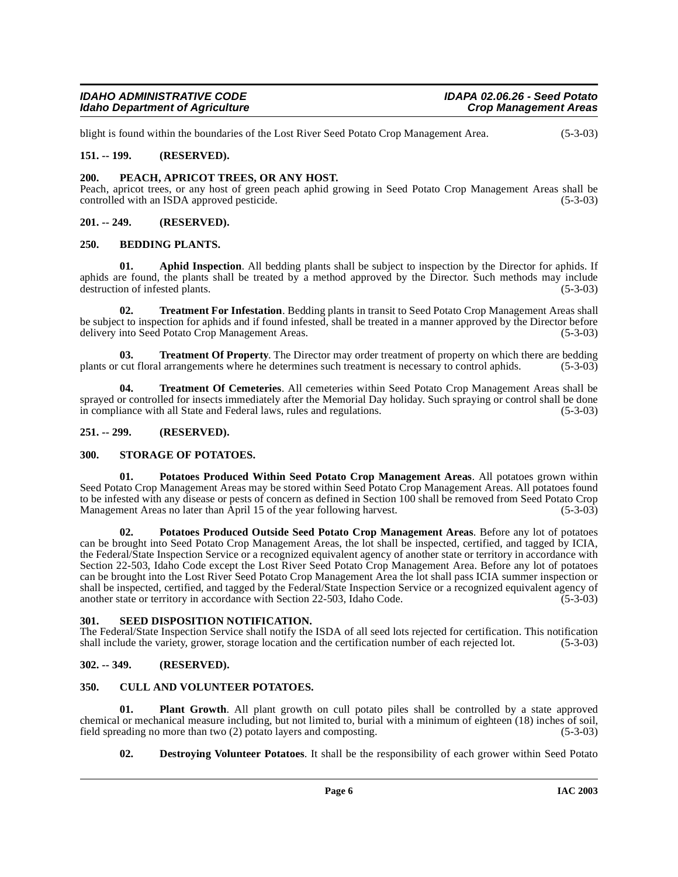| <b>IDAHO ADMINISTRATIVE CODE</b>       | IDAPA 02.06.26 - Seed Potato |
|----------------------------------------|------------------------------|
| <b>Idaho Department of Agriculture</b> | <b>Crop Management Areas</b> |

blight is found within the boundaries of the Lost River Seed Potato Crop Management Area. (5-3-03)

#### <span id="page-5-0"></span>**151. -- 199. (RESERVED).**

#### <span id="page-5-13"></span><span id="page-5-1"></span>**200. PEACH, APRICOT TREES, OR ANY HOST.**

Peach, apricot trees, or any host of green peach aphid growing in Seed Potato Crop Management Areas shall be controlled with an ISDA approved pesticide.

#### <span id="page-5-2"></span>**201. -- 249. (RESERVED).**

#### <span id="page-5-10"></span><span id="page-5-3"></span>**250. BEDDING PLANTS.**

<span id="page-5-9"></span>**01. Aphid Inspection**. All bedding plants shall be subject to inspection by the Director for aphids. If aphids are found, the plants shall be treated by a method approved by the Director. Such methods may include destruction of infested plants. (5-3-03)

<span id="page-5-17"></span>**02. Treatment For Infestation**. Bedding plants in transit to Seed Potato Crop Management Areas shall be subject to inspection for aphids and if found infested, shall be treated in a manner approved by the Director before delivery into Seed Potato Crop Management Areas. (5-3-03)

<span id="page-5-19"></span>**03. Treatment Of Property**. The Director may order treatment of property on which there are bedding cut floral arrangements where he determines such treatment is necessary to control aphids. (5-3-03) plants or cut floral arrangements where he determines such treatment is necessary to control aphids.

<span id="page-5-18"></span>**04. Treatment Of Cemeteries**. All cemeteries within Seed Potato Crop Management Areas shall be sprayed or controlled for insects immediately after the Memorial Day holiday. Such spraying or control shall be done<br>in compliance with all State and Federal laws, rules and regulations. (5-3-03) in compliance with all State and Federal laws, rules and regulations.

#### <span id="page-5-4"></span>**251. -- 299. (RESERVED).**

#### <span id="page-5-16"></span><span id="page-5-5"></span>**300. STORAGE OF POTATOES.**

<span id="page-5-15"></span>**01. Potatoes Produced Within Seed Potato Crop Management Areas**. All potatoes grown within Seed Potato Crop Management Areas may be stored within Seed Potato Crop Management Areas. All potatoes found to be infested with any disease or pests of concern as defined in Section 100 shall be removed from Seed Potato Crop Management Areas no later than April 15 of the year following harvest. (5-3-03)

<span id="page-5-14"></span>**02. Potatoes Produced Outside Seed Potato Crop Management Areas**. Before any lot of potatoes can be brought into Seed Potato Crop Management Areas, the lot shall be inspected, certified, and tagged by ICIA, the Federal/State Inspection Service or a recognized equivalent agency of another state or territory in accordance with Section 22-503, Idaho Code except the Lost River Seed Potato Crop Management Area. Before any lot of potatoes can be brought into the Lost River Seed Potato Crop Management Area the lot shall pass ICIA summer inspection or shall be inspected, certified, and tagged by the Federal/State Inspection Service or a recognized equivalent agency of another state or territory in accordance with Section 22-503, Idaho Code. (5-3-03)

#### <span id="page-5-6"></span>**301. SEED DISPOSITION NOTIFICATION.**

The Federal/State Inspection Service shall notify the ISDA of all seed lots rejected for certification. This notification shall include the variety, grower, storage location and the certification number of each rejected lot. (5-3-03)

## <span id="page-5-7"></span>**302. -- 349. (RESERVED).**

#### <span id="page-5-11"></span><span id="page-5-8"></span>**350. CULL AND VOLUNTEER POTATOES.**

**01. Plant Growth**. All plant growth on cull potato piles shall be controlled by a state approved chemical or mechanical measure including, but not limited to, burial with a minimum of eighteen (18) inches of soil, field spreading no more than two (2) potato layers and composting.  $(5-3-03)$ field spreading no more than two  $(2)$  potato layers and composting.

<span id="page-5-12"></span>**02. Destroying Volunteer Potatoes**. It shall be the responsibility of each grower within Seed Potato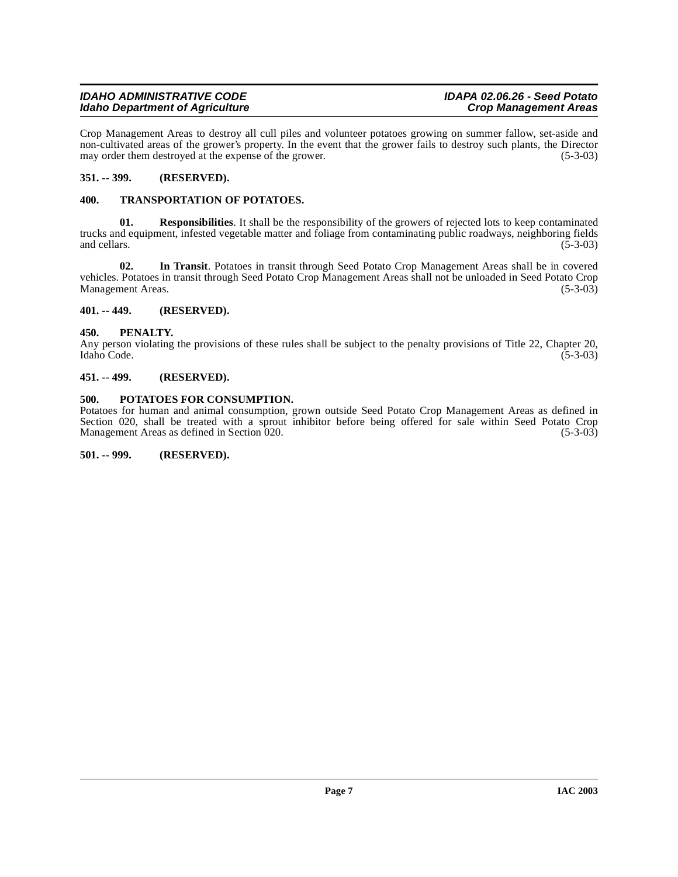## **IDAHO ADMINISTRATIVE CODE IDAPA 02.06.26 - Seed Potato Idaho Department of Agriculture**

Crop Management Areas to destroy all cull piles and volunteer potatoes growing on summer fallow, set-aside and non-cultivated areas of the grower's property. In the event that the grower fails to destroy such plants, the Director may order them destroyed at the expense of the grower. (5-3-03) may order them destroyed at the expense of the grower.

# <span id="page-6-0"></span>**351. -- 399. (RESERVED).**

# <span id="page-6-10"></span><span id="page-6-1"></span>**400. TRANSPORTATION OF POTATOES.**

<span id="page-6-8"></span>**01. Responsibilities**. It shall be the responsibility of the growers of rejected lots to keep contaminated trucks and equipment, infested vegetable matter and foliage from contaminating public roadways, neighboring fields and cellars. (5-3-03) and cellars. (5-3-03)

<span id="page-6-9"></span>**02. In Transit**. Potatoes in transit through Seed Potato Crop Management Areas shall be in covered vehicles. Potatoes in transit through Seed Potato Crop Management Areas shall not be unloaded in Seed Potato Crop Management Areas. (5-3-03)

# <span id="page-6-2"></span>**401. -- 449. (RESERVED).**

# <span id="page-6-3"></span>**450. PENALTY.**

Any person violating the provisions of these rules shall be subject to the penalty provisions of Title 22, Chapter 20, Idaho Code. (5-3-03) Idaho Code. (5-3-03)

# <span id="page-6-4"></span>**451. -- 499. (RESERVED).**

# <span id="page-6-7"></span><span id="page-6-5"></span>**500. POTATOES FOR CONSUMPTION.**

Potatoes for human and animal consumption, grown outside Seed Potato Crop Management Areas as defined in Section 020, shall be treated with a sprout inhibitor before being offered for sale within Seed Potato Crop Management Areas as defined in Section 020. Management Areas as defined in Section 020.

<span id="page-6-6"></span>**501. -- 999. (RESERVED).**